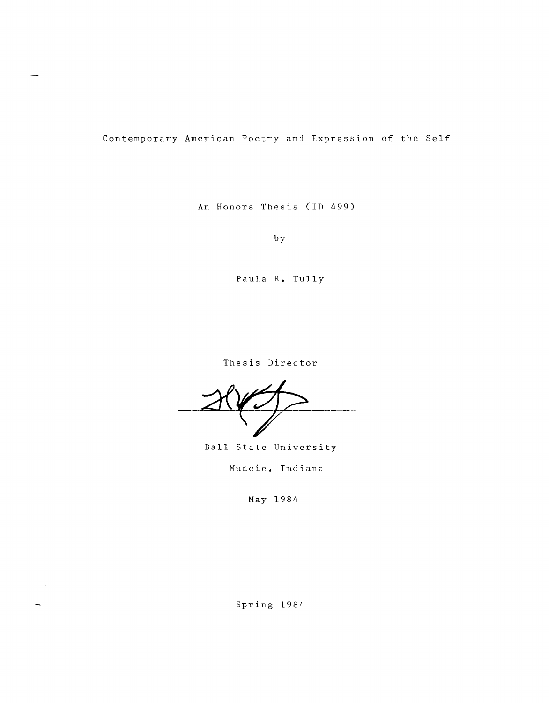Contemporary American Poetry and Expression of the Self

An Honors Thesis (ID 499)

by

Paula **R.** Tully

Thesis Director

Ball State University

Munc ie, Ind iana

May 1984

Spring 1984

 $\langle \cdot \rangle$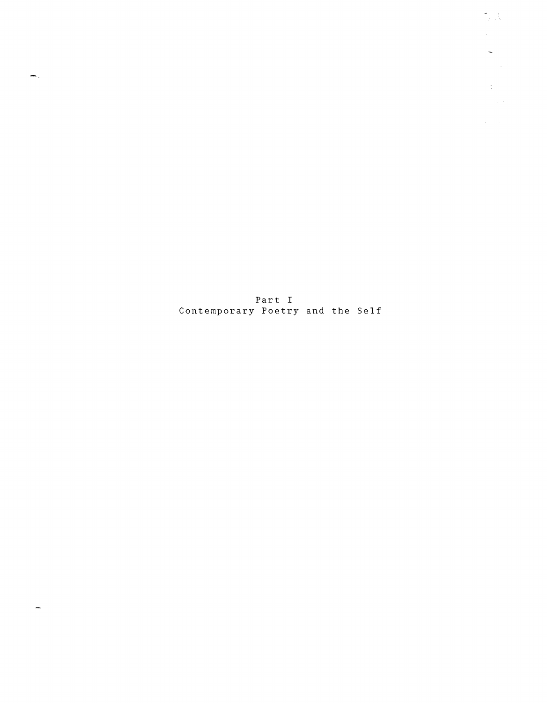Part I Contemporary Poetry and the Self

 $\blacksquare$ 

 $\overline{\phantom{0}}$ 

 $\frac{1}{\sqrt{2}}\left(\frac{1}{\sqrt{2}}\right)$ 

 $\frac{1}{2}$  .  $\sim 10^{-1}$ 

 $\frac{1}{\sqrt{2}}$  ,  $\frac{1}{\sqrt{2}}$ 

 $\mathcal{A}^{\text{max}}_{\text{max}}$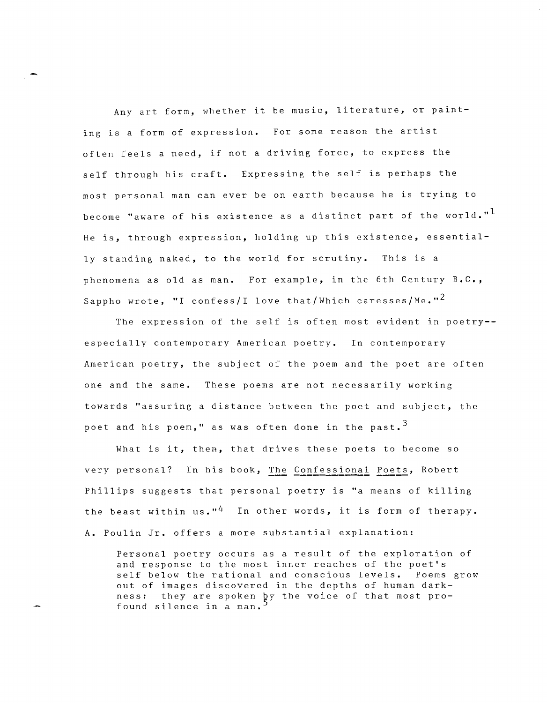Any art form, whether it be music, literature, or painting is a form of expression. For some reason the artist often feels a need, if not a driving force, to express the self through his craft. Expressing the self is perhaps the most personal man can ever be on earth because he is trying to become "aware of his existence as a distinct part of the world."<sup>1</sup> He is, through expression, holding up this existence, essentially standing naked, to the world for scrutiny. This is a phenomena as old as man. For example, in the 6th Century B.C., Sappho wrote, "I confess/I love that/Which caresses/Me."<sup>2</sup>

The expression of the self is often most evident in poetry- especially contemporary American poetry. In contemporary American poetry, the subject of the poem and the poet are often one and the same. These poems are not necessarily working towards "assuring a distance between the poet and subject, the poet and his poem," as was often done in the past.  $3$ 

What is it, then, that drives these poets to become so very personal? In his book, The Confessional Poets, Robert Phillips suggests that personal poetry is "a means of killing the beast within us."<sup>4</sup> In other words, it is form of therapy. A. Poulin Jr. offers a more substantial explanation:

Personal poetry occurs as a result of the exploration of and response to the most inner reaches of the poet's self below the rational and conscious levels. Poems grow out of images discovered in the depths of human darkness: they are spoken by the voice of that most profound silence in a man.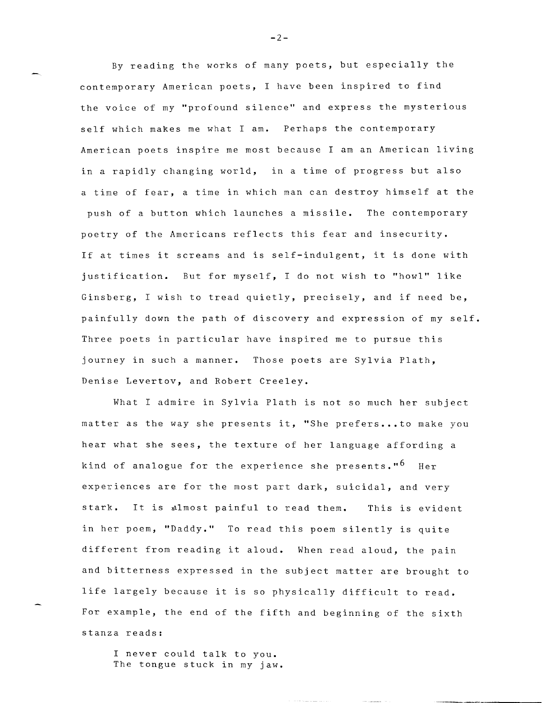By reading the works of many poets, but especially the contemporary American poets, I have been inspired to find the voice of my "profound silence" and express the mysterious self which makes me what I am. Perhaps the contemporary American poets inspire me most because I am an American living in a rapidly changing world, in a time of progress but also a time of fear, a time in which man can destroy himself at the push of a button which launches a missile. The contemporary poetry of the Americans reflects this fear and insecurity. If at times it screams and is self-indulgent, it is done with justification. But for myself, I do not wish to "howl" like Ginsberg, I wish to tread quietly, precisely, and if need be, painfully down the path of discovery and expression of my self. Three poets in particular have inspired me to pursue this journey in such a manner. Those poets are Sylvia Plath, Denise Levertov, and Robert Creeley.

What I admire in Sylvia Plath is not so much her subject matter as the way she presents it, "She prefers...to make you hear what she sees, the texture of her language affording a kind of analogue for the experience she presents."<sup>6</sup> Her experiences are for the most part dark, suicidal, and very stark. It is almost painful to read them. This is evident in her poem, "Daddy." To read this poem silently is quite different from reading it aloud. When read aloud, the pain and bitterness expressed in the subject matter are brought to life largely because it is so physically difficult to read. For example, the end of the fifth and beginning of the sixth stanza reads:

I never could talk to you. The tongue stuck in my jaw.

**-2-**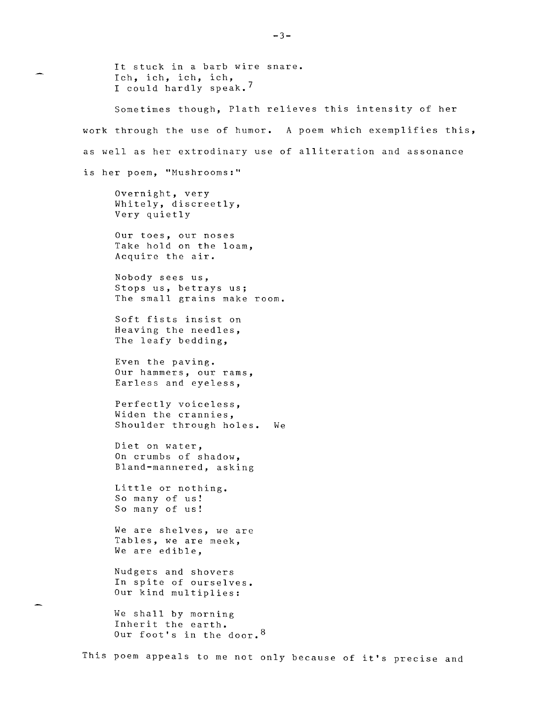It stuck in a barb wire snare. Ich, ich, ich, ich, I could hardly speak. <sup>7</sup> Sometimes though, Plath relieves this intensity of her work through the use of humor. A poem which exemplifies this, as well as her extrodinary use of alliteration and assonance is her poem, "Mushrooms:" Overnight, very Whitely, discreetly, Very quietly Our toes, our noses Take hold on the loam, Acquire the air. Nobody sees us, Stops us, betrays us; The small grains make room. Soft fists insist on Heaving the needles, The leafy bedding, Even the paving. Our hammers, our rams, Earless and eyeless, Perfectly voiceless, Widen the crannies, Shoulder through holes. We Diet on water, On crumbs of shadow, Bland-mannered, asking Little or nothing. So many of us! So many of us! We are shelves, we are Tables, we are meek, We are edible, Nudgers and shovers In spite of ourselves. Our kind multiplies: We shall by morning Inherit the earth. Our foot's in the door.<sup>8</sup>

This poem appeals to me not only because of it's precise and

 $-3-$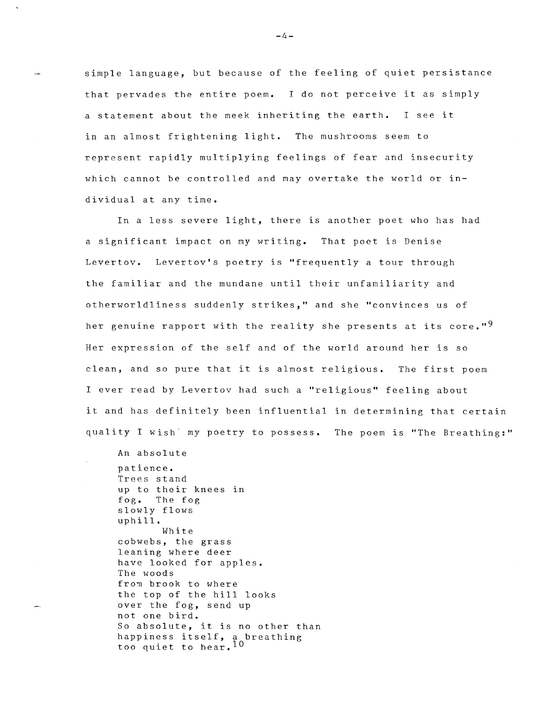simple language, but because of the feeling of quiet persistance that pervades the entire poem. I do not perceive it as simply a statement about the meek inheriting the earth. I see it in an almost frightening light. The mushrooms seem to represent rapidly mUltiplying feelings of fear and insecurity which cannot be controlled and may overtake the world or **in**dividual at any time.

In a less severe light, there is another poet who has had a significant impact on my writing. That poet is Denise Levertov. Levertov's poetry is "frequently a tour through the familiar and the mundane until their unfamiliarity and otherworldliness suddenly strikes," and she "convinces us of her genuine rapport with the reality she presents at its core."<sup>9</sup> Her expression of the self and of the world around her is so clean, and so pure that it is almost religious. The first poem I ever read by Levertov had such a "religious" feeling about it and has definitely been influential in determining that certain quality I wish my poetry to possess. The poem is "The Breathing:"

An absolute patience. Trees stand up to their knees in fog. The fog slowly flows uphill. White cobwebs, the grass leaning where deer have looked for apples. The woods from brook to where the top of the hill looks over the fog, send up not one bird. So absolute, it is no other than bo absorate, it is no other th<br>happiness itself, a breathing too quiet to hear.  $\bar{1}0$ 

**-4-**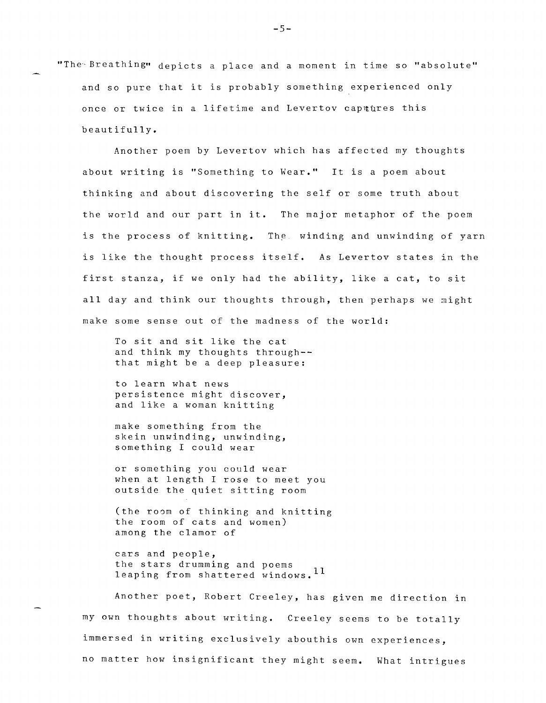"The Breathing" depicts a place and a moment in time so "absolute" and so pure that it is probably something experienced only once or twice in a lifetime and Levertov captures this beautifully.

Another poem by Levertov which has affected my thoughts about writing is "Something to Wear." It is a poem about thinking and about discovering the self or some truth about the world and our part in **it.** The major metaphor of the poem is the process of knitting. The winding and unwinding of yarn is like the thought process itself. As Levertov states in the first stanza, if we only had the ability, like a cat, to sit all day and think our thoughts through, then perhaps we might make some sense out of the madness of the world:

To sit and sit like the cat and think my thoughts through- that might be a deep pleasure:

to learn what news persistence might discover, and like a woman knitting

make something from the skein unwinding, unwinding, something I could wear

or something you could wear when at length I rose to meet you outside the quiet sitting room

(the room of thinking and knitting the room of cats and women) among the clamor of

cars and people, the stars drumming and poems leaping from shattered windows. 11

Another poet, Robert Creeley, has given me direction in my own thoughts about writing. Creeley seems to be totally immersed in writing exclusively abouthis own experiences, no matter how insignificant they might seem. What intrigues

**-5-**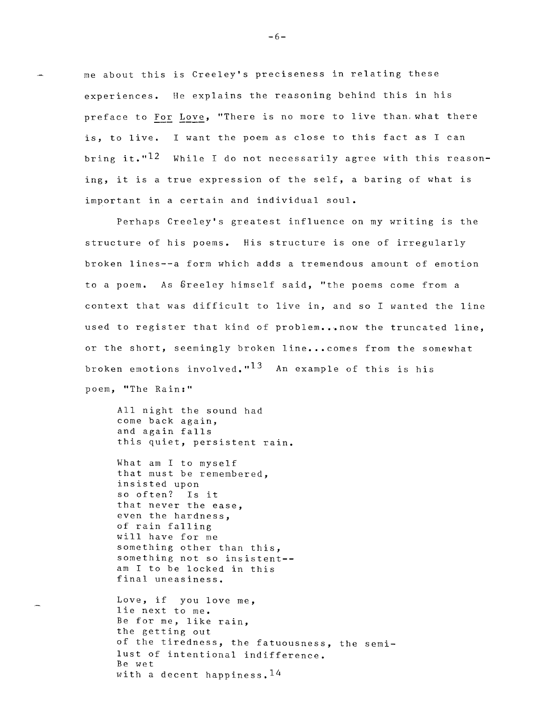me about this is Creeley's preciseness in relating these experiences. He explains the reasoning behind this in his preface to For Love, "There is no more to live than. what there is, to live. I want the poem as close to this fact as I can bring it." $12$  While I do not necessarily agree with this reasoning, it is a true expression of the self, a baring of what is important in a certain and individual soul.

Perhaps Creeley's greatest influence on my writing is the structure of his poems. His structure is one of irregularly broken lines--a form which adds a tremendous amount of emotion to a poem. As Greeley himself said, "the poems come from a context that was difficult to live in, and so I wanted the line used to register that kind of problem...now the truncated line, or the short, seemingly broken line... comes from the somewhat broken emotions involved." $^{13}$   $\,$  An example of this is his poem, "The Rain:"

All night the sound had come back again, and again falls this quiet, persistent rain.

What am I to myself that must be remembered, insisted upon so often? Is it that never the ease, even the hardness, of rain falling will have for me something other than this, something not so insistent- am I to be locked in this final uneasiness.

Love, if you love me, lie next to me. Be for me, like rain, the getting out of the tiredness, the fatuousness, the semilust of intentional indifference. Be wet with a decent happiness.  $14$ 

**-6-**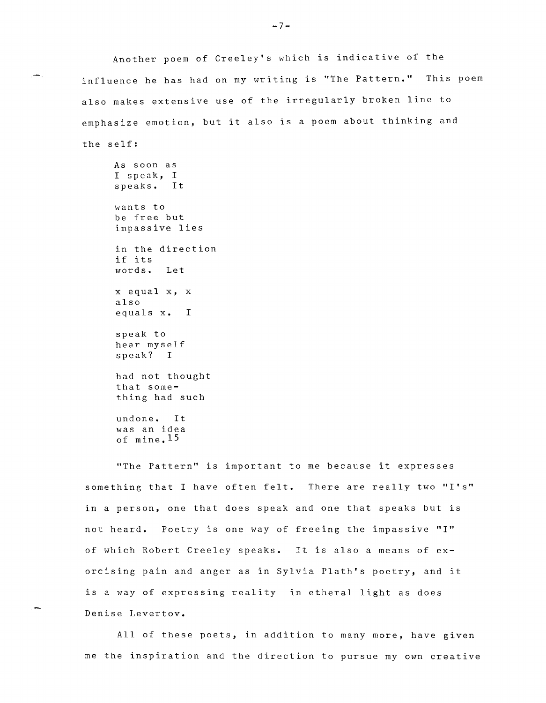Another poem of Creeley's which is indicative of the influence he has had on my writing is "The Pattern." This poem also makes extensive use of the irregularly broken line to emphasize emotion, but it also is a poem about thinking and the self:

As soon as I speak, I speaks. It wants to be free but impassive lies in the direction if its words. Let x equal x, x also equals **x. <sup>I</sup>** speak to hear myself speak? I had not thought that something had such undone. It was an idea of mine. IS

"The Pattern" is important to me because it expresses something that I have often felt. There are really two **"I's"**  in a person, one that does speak and one that speaks but is not heard. Poetry is one way of freeing the impassive **"I"**  of which Robert Creeley speaks. It is also a means of exorcising pain and anger as in Sylvia Plath's poetry, and it is a way of expressing reality in etheral light as does Denise Levertov.

All of these poets, in addition to many more, have given me the inspiration and the direction to pursue my own creative

**-7-**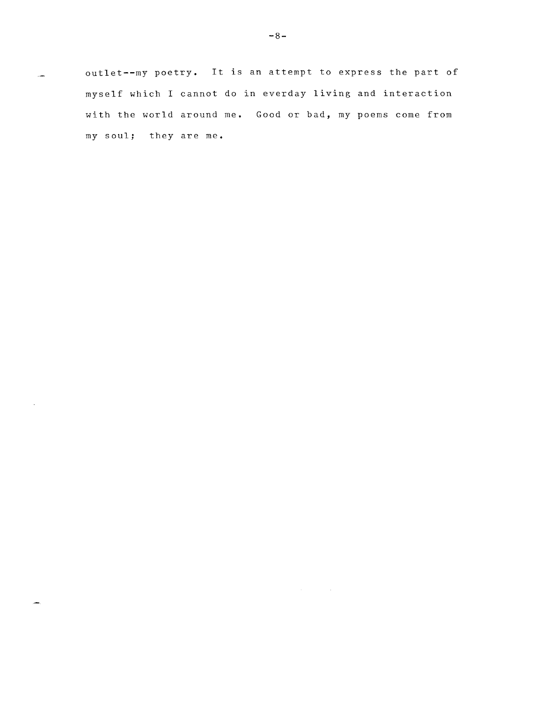outlet--my poetry. It is an attempt to express the part of myself which I cannot do in everday living and interaction with the world around me. Good or bad, my poems come from my soul; they are me.

 $\mathcal{L}(\mathcal{A})$  and  $\mathcal{L}(\mathcal{A})$  and  $\mathcal{L}(\mathcal{A})$ 

 $\sim$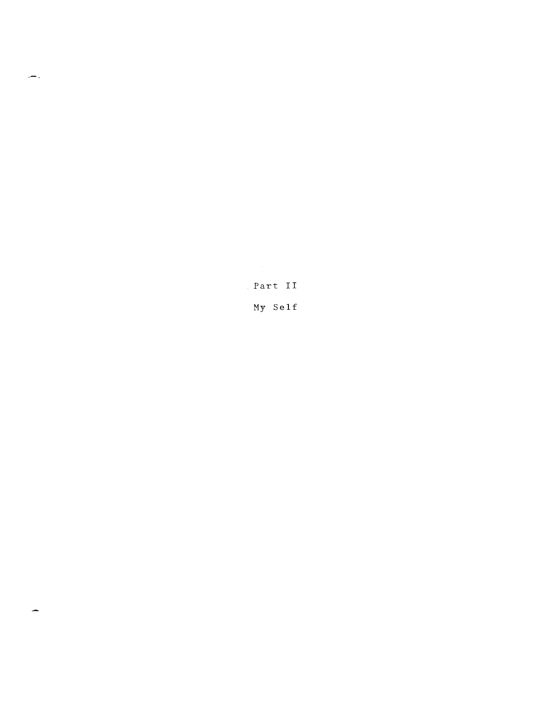Part II

الانتصر

 $\overline{\phantom{a}}$ 

My Self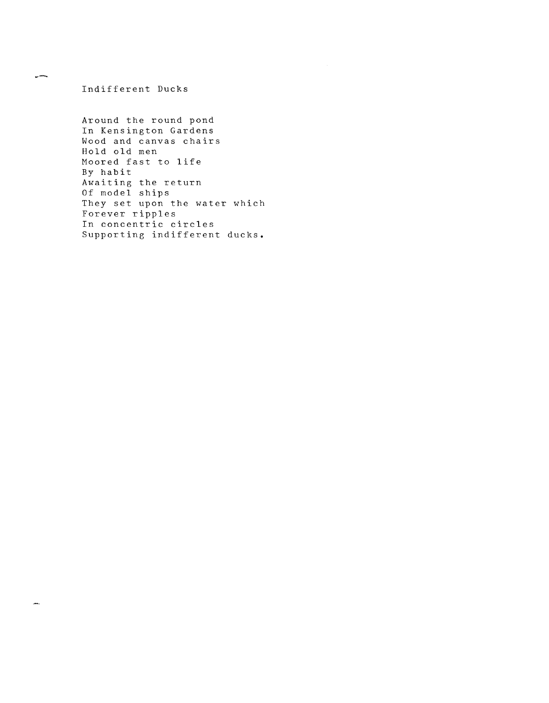Indifferent Ducks

يتسرن

tan.

Around the round pond In Kensington Gardens Wood and canvas chairs Hold old men Moored fast to life By habit Awaiting the return Of model ships They set upon the water which Forever ripples In concentric circles Supporting indifferent ducks.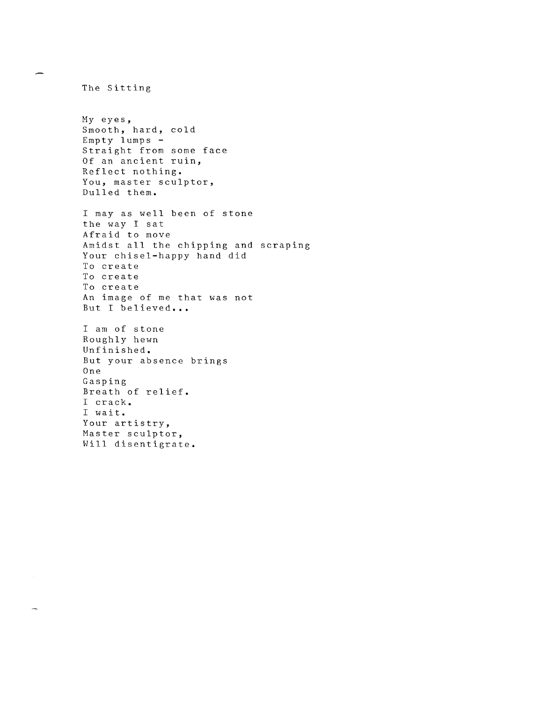The Sitting My eyes, Smooth, hard, cold Empty lumps - Straight from some face Of an ancient ruin, Reflect nothing. You, master sculptor, Dulled them. I may as well been of stone the way I sat Afraid to move Amidst all the chipping and scraping Your chisel-happy hand did To create To create To create An image of me that was not But I believed... I am of stone Roughly hewn Unfinished. But your absence brings One Gasping Breath of relief. I crack. I wait. Your artistry, Master sculptor, Will disentigrate.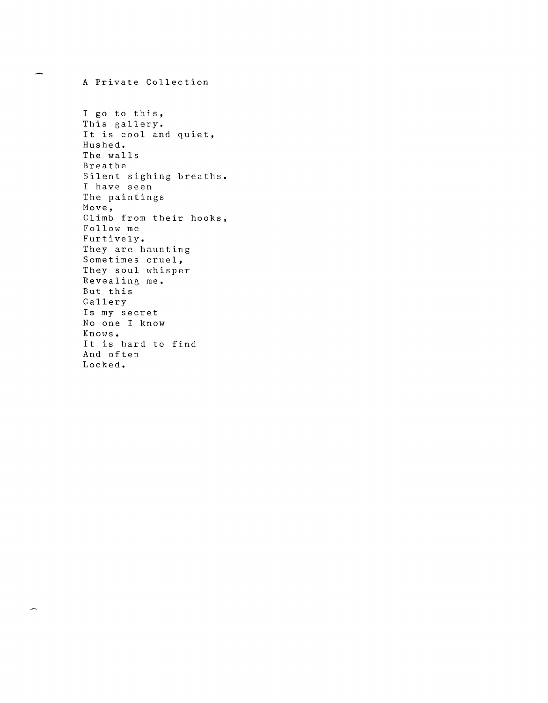I go to this, This gallery. It is cool and quiet, Hushed. The walls Breathe Silent sighing breaths. I have seen The paintings Move, Climb from their hooks, Follow me Furtively. They are haunting Sometimes cruel, They soul whisper Revealing me. But this Gallery Is my secret No one I know Knows. It is hard to find And often Locked.

A Private Collection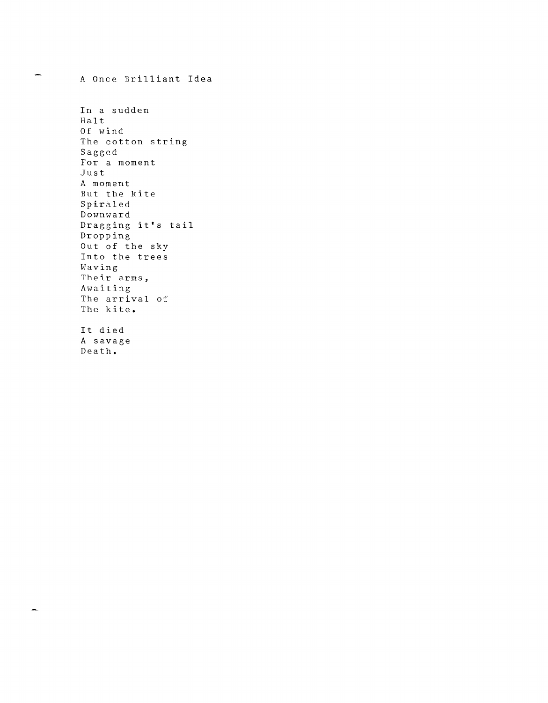A Once Brilliant Idea

yms.

In a sudden Halt Of wind The cotton string Sagged For a moment Just A moment But the kite Spiraled Downward Dragging it's tail Dropping Out of the sky Into the trees Having Their arms, Awaiting The arrival of The kite. It died A savage Death.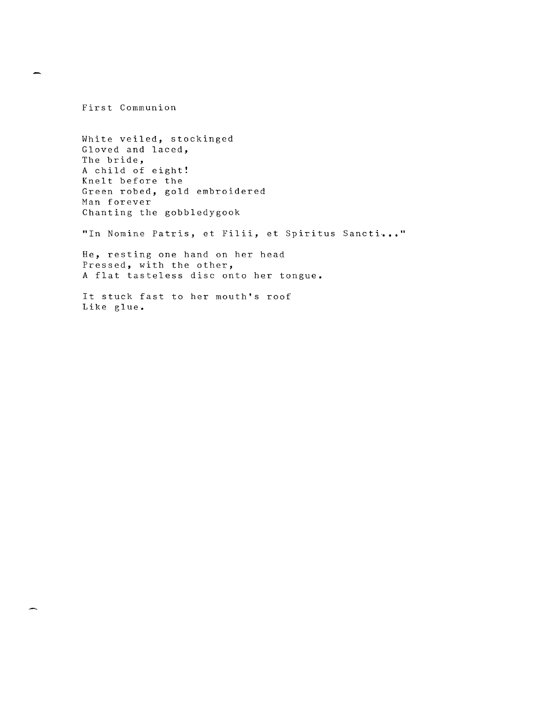First Communion

White veiled, stockinged Gloved and laced, The bride, A child of eight! Knelt before the Green robed, gold embroidered Man forever Chanting the gobbledygook "In Nomine Patris, et Filii, et Spiritus Sancti..." He, resting one hand on her head

Pressed, with the other, A flat tasteless disc onto her tongue.

It stuck fast to her mouth's roof Like glue.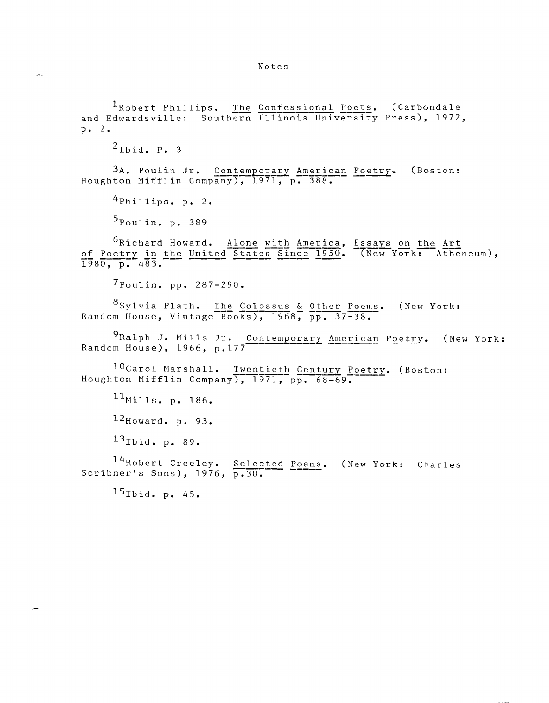<sup>1</sup>Robert Phillips. The Confessional Poets. (Carbondale and Edwardsville: Southern IIIinois University Press), 1972, p. 2.

 $2$ Ibid. P. 3

3A. Poulin Jr. Contemporary American Poetry. Houghton Mifflin Company), 1971, p. 388. (Boston:

 $^{4}$ Phillips. p. 2.

 $5_{\text{Poulin. p. }389}$ 

 $^6$ Richard Howard. Alone with America, Essays on the Art of Poetry in the United States-Since 1950. They York: Atheneum), 1980. p. 483.

7Poulin. pp. 287-290.

8Sylvia Plath. The Colossus & Other Poems. (New York: Random House, Vintage Books),  $1968$ , pp. 37-38.

9Ralph J. Mills Jr. Contemporary American Poetry. (New York: Random House), 1966, p.177

 $^{10}$ Carol Marshall. Twentieth Century Poetry. (Boston: Houghton Mifflin Company),  $1971, p\overline{p} \cdot 68-69$ .

 $11_{\text{Mills. p. }186.}$  $12$ Howard. p. 93.

 $^{13}$ Ibid. p. 89.

 $^{14}$ Robert Creeley. Selected <sup>14</sup>Robert Creeley. <u>Selected Poems</u>. (New York: Charles<br>Scribner's Sons), 1976, p.30.

 $15$ Ibid. p. 45.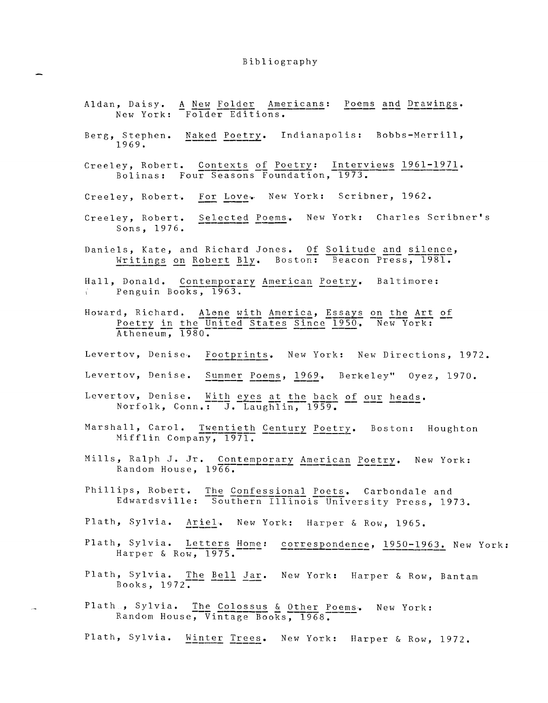## Bibliography

- Aldan, Daisy. A New Folder Americans: Poems and Drawings. New York: Folder Editions.
- Berg, Stephen. Naked Poetry. Indianapolis: Bobbs-Merrill, 1969.
- Creeley, Robert. Contexts of Poetry: Interviews 1961-1971.<br>Bolinas: Four Seasons Foundation, 1973.
- Creeley, Robert. For Love. New York: Scribner, 1962.
- Creeley, Robert. Selected Poems. New York: Charles Scribner's Sons, 1976.
- Daniels, Kate, and Richard Jones. Of Solitude and silence,<br>Writings on Robert Bly. Boston: Beacon Press, 1981.
- Hall, Donald. Contemporary American Poetry. Baltimore: Penguin Books, 1963.
- Howard, Richard. Alone with America, Essays on the Art of<br>Poetry in the United States Since 1950. New York:  $\frac{\text{Poetry}}{\text{Atheneum}}$ , 1980.
- Levertov, Denise. Footprints. New York: New Directions, 1972.
- Levertov, Denise. Summer Poems, 1969. Berkeley" Oyez, 1970.
- Levertov, Denise. With eyes at the back of our heads.<br>Norfolk, Conn.: J. Laughlin, 1959.
- Marshall, Carol. Twentieth Century Poetry. Boston: Houghton Mifflin Company, 1971.
- Mills, Ralph J. Jr. Contemporary American Poetry. New York: Random House, 1966.
- Phillips, Robert. The Confessional Poets. Carbondale and Edwardsville: Southern Illinois University Press, 1973.
- Plath, Sylvia. Ariel. New York: Harper & Row, 1965.
- Plath, Sylvia. Letters Home: correspondence, 1950-1963. New York: Harper & Row, 1975.
- Plath, Sylvia. The Bell Jar. New York: Harper & Row, Bantam Books,  $1972$ .
- Plath<sub>o</sub>, Sylvia. The Colossus & Other Poems. New York:<br>Random House, Vintage Books, 1968.
- Plath, Sylvia. Winter Trees. New York: Harper & Row, 1972.